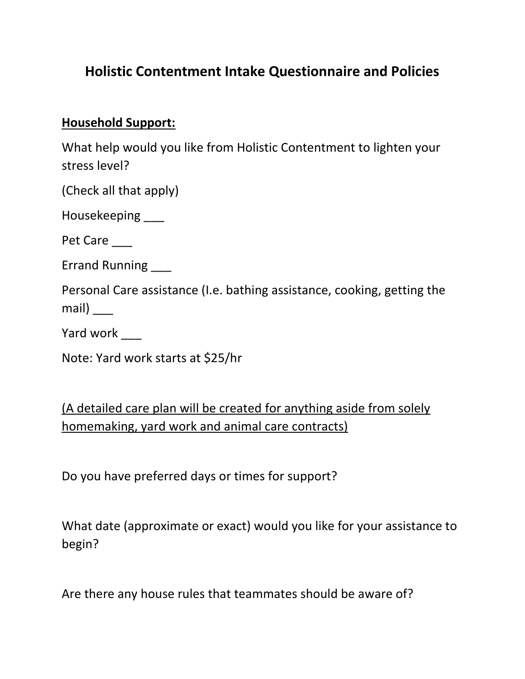# **Holistic Contentment Intake Questionnaire and Policies**

#### **Household Support:**

What help would you like from Holistic Contentment to lighten your stress level?

(Check all that apply)

Housekeeping \_\_\_

Pet Care

Errand Running \_\_\_

Personal Care assistance (I.e. bathing assistance, cooking, getting the mail) \_\_\_

Yard work \_\_\_\_

Note: Yard work starts at \$25/hr

(A detailed care plan will be created for anything aside from solely homemaking, yard work and animal care contracts)

Do you have preferred days or times for support?

What date (approximate or exact) would you like for your assistance to begin?

Are there any house rules that teammates should be aware of?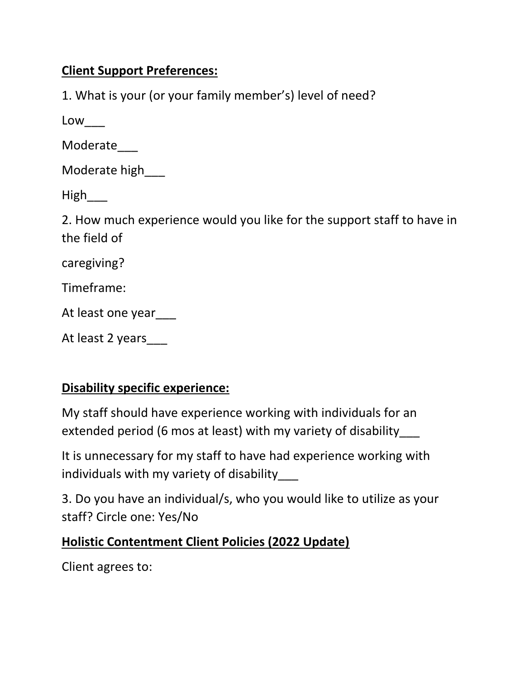#### **Client Support Preferences:**

1. What is your (or your family member's) level of need?

Low\_\_\_

Moderate\_\_\_

Moderate high

High\_\_\_

2. How much experience would you like for the support staff to have in the field of

caregiving?

Timeframe:

At least one year\_\_\_

|  |  |  | At least 2 years |  |
|--|--|--|------------------|--|
|--|--|--|------------------|--|

#### **Disability specific experience:**

My staff should have experience working with individuals for an extended period (6 mos at least) with my variety of disability\_\_\_

It is unnecessary for my staff to have had experience working with individuals with my variety of disability\_\_\_

3. Do you have an individual/s, who you would like to utilize as your staff? Circle one: Yes/No

#### **Holistic Contentment Client Policies (2022 Update)**

Client agrees to: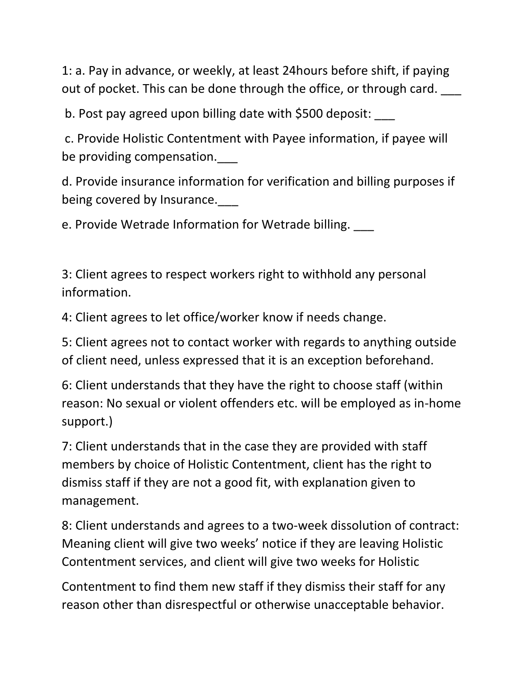1: a. Pay in advance, or weekly, at least 24hours before shift, if paying out of pocket. This can be done through the office, or through card.

b. Post pay agreed upon billing date with \$500 deposit:

c. Provide Holistic Contentment with Payee information, if payee will be providing compensation.

d. Provide insurance information for verification and billing purposes if being covered by Insurance.

e. Provide Wetrade Information for Wetrade billing. \_\_\_

3: Client agrees to respect workers right to withhold any personal information.

4: Client agrees to let office/worker know if needs change.

5: Client agrees not to contact worker with regards to anything outside of client need, unless expressed that it is an exception beforehand.

6: Client understands that they have the right to choose staff (within reason: No sexual or violent offenders etc. will be employed as in-home support.)

7: Client understands that in the case they are provided with staff members by choice of Holistic Contentment, client has the right to dismiss staff if they are not a good fit, with explanation given to management.

8: Client understands and agrees to a two-week dissolution of contract: Meaning client will give two weeks' notice if they are leaving Holistic Contentment services, and client will give two weeks for Holistic

Contentment to find them new staff if they dismiss their staff for any reason other than disrespectful or otherwise unacceptable behavior.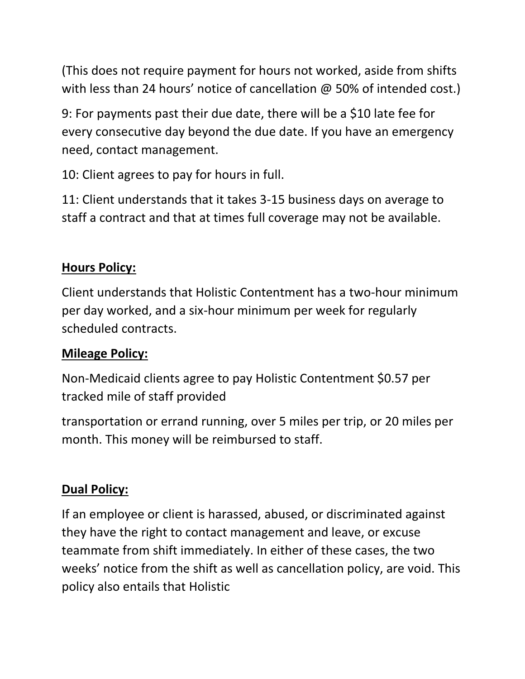(This does not require payment for hours not worked, aside from shifts with less than 24 hours' notice of cancellation @ 50% of intended cost.)

9: For payments past their due date, there will be a \$10 late fee for every consecutive day beyond the due date. If you have an emergency need, contact management.

10: Client agrees to pay for hours in full.

11: Client understands that it takes 3-15 business days on average to staff a contract and that at times full coverage may not be available.

## **Hours Policy:**

Client understands that Holistic Contentment has a two-hour minimum per day worked, and a six-hour minimum per week for regularly scheduled contracts.

## **Mileage Policy:**

Non-Medicaid clients agree to pay Holistic Contentment \$0.57 per tracked mile of staff provided

transportation or errand running, over 5 miles per trip, or 20 miles per month. This money will be reimbursed to staff.

## **Dual Policy:**

If an employee or client is harassed, abused, or discriminated against they have the right to contact management and leave, or excuse teammate from shift immediately. In either of these cases, the two weeks' notice from the shift as well as cancellation policy, are void. This policy also entails that Holistic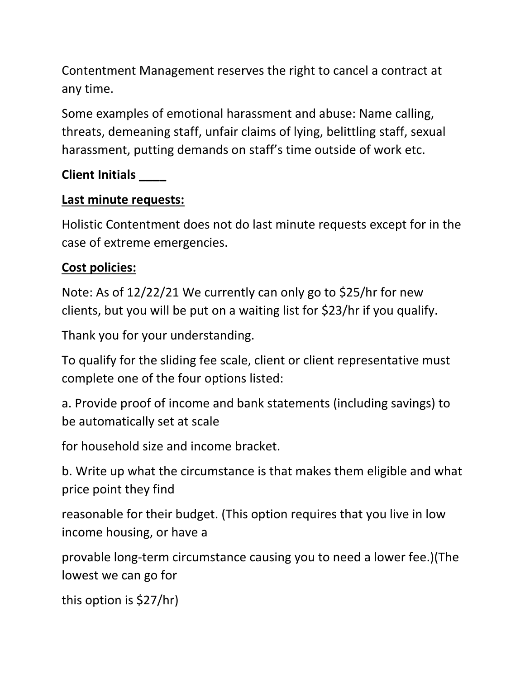Contentment Management reserves the right to cancel a contract at any time.

Some examples of emotional harassment and abuse: Name calling, threats, demeaning staff, unfair claims of lying, belittling staff, sexual harassment, putting demands on staff's time outside of work etc.

## **Client Initials \_\_\_\_**

## **Last minute requests:**

Holistic Contentment does not do last minute requests except for in the case of extreme emergencies.

# **Cost policies:**

Note: As of 12/22/21 We currently can only go to \$25/hr for new clients, but you will be put on a waiting list for \$23/hr if you qualify.

Thank you for your understanding.

To qualify for the sliding fee scale, client or client representative must complete one of the four options listed:

a. Provide proof of income and bank statements (including savings) to be automatically set at scale

for household size and income bracket.

b. Write up what the circumstance is that makes them eligible and what price point they find

reasonable for their budget. (This option requires that you live in low income housing, or have a

provable long-term circumstance causing you to need a lower fee.)(The lowest we can go for

this option is \$27/hr)